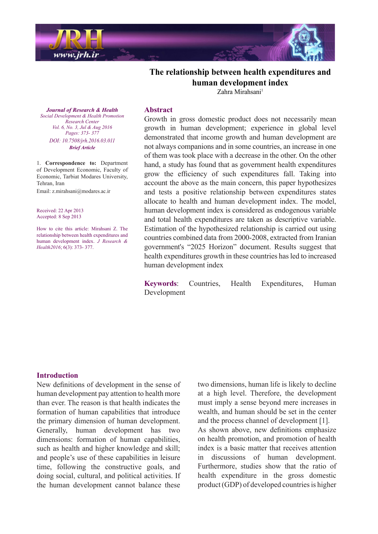

# **The relationship between health expenditures and human** development index

 $Zahra$  Mirahsani<sup>1</sup>

**Journal of Research & Health**  *Promotion Health & Development Social Center Research Vol. 6, No. 3, Jul & Aug 2016* Pages: 373- 377 *DOI*: 10.7508/jrh.2016.03.011 *Article Brief*

1. **Correspondence** to: Department of Development Economic, Faculty of Economic, Tarbiat Modares University, Tehran, Iran Email: z.mirahsani@modares.ac.ir

Received: 22 Apr 2013 Accepted: 8 Sep 2013

How to cite this article: Mirahsani Z. The relationship between health expenditures and human development index. *J Research &* Health2016; 6(3): 373- 377.

### **Abstract**

Growth in gross domestic product does not necessarily mean growth in human development; experience in global level demonstrated that income growth and human development are not always companions and in some countries, an increase in one of them was took place with a decrease in the other. On the other hand, a study has found that as government health expenditures grow the efficiency of such expenditures fall. Taking into account the above as the main concern, this paper hypothesizes and tests a positive relationship between expenditures states allocate to health and human development index. The model, human development index is considered as endogenous variable and total health expenditures are taken as descriptive variable. Estimation of the hypothesized relationship is carried out using countries combined data from 2000-2008, extracted from Iranian government's "2025 Horizon" document. Results suggest that health expenditures growth in these countries has led to increased human development index

Keywords: Countries, Health Expenditures, Human Development

#### **Introduction**

New definitions of development in the sense of human development pay attention to health more than ever. The reason is that health indicates the formation of human capabilities that introduce the primary dimension of human development. Generally, human development has two dimensions: formation of human capabilities, such as health and higher knowledge and skill; and people's use of these capabilities in leisure time, following the constructive goals, and doing social, cultural, and political activities. If the human development cannot balance these

two dimensions, human life is likely to decline at a high level. Therefore, the development must imply a sense beyond mere increases in wealth, and human should be set in the center and the process channel of development  $[1]$ . As shown above, new definitions emphasize on health promotion, and promotion of health index is a basic matter that receives attention in discussions of human development. Furthermore, studies show that the ratio of health expenditure in the gross domestic  $product(GDP)$  of developed countries is higher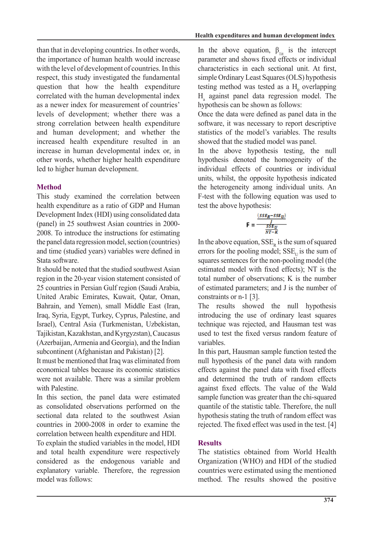than that in developing countries. In other words, the importance of human health would increase with the level of development of countries. In this respect, this study investigated the fundamental question that how the health expenditure correlated with the human developmental index as a newer index for measurement of countries' levels of development; whether there was a strong correlation between health expenditure and human development; and whether the increased health expenditure resulted in an increase in human developmental index or, in other words, whether higher health expenditure led to higher human development.

# **Method**

This study examined the correlation between health expenditure as a ratio of GDP and Human Development Index (HDI) using consolidated data  $(panel)$  in 25 southwest Asian countries in 2000-2008. To introduce the instructions for estimating the panel data regression model, section (countries) and time (studied years) variables were defined in Stata software.

It should be noted that the studied southwest Asian region in the 20-year vision statement consisted of 25 countries in Persian Gulf region (Saudi Arabia, United Arabic Emirates, Kuwait, Oatar, Oman, Bahrain, and Yemen), small Middle East (Iran, Iraq, Syria, Egypt, Turkey, Cyprus, Palestine, and Israel), Central Asia (Turkmenistan, Uzbekistan, Tajikistan, Kazakhstan, and Kyrgyzstan), Caucasus (Azerbaijan, Armenia and Georgia), and the Indian subcontinent (Afghanistan and Pakistan) [2].

It must be mentioned that Iraq was eliminated from economical tables because its economic statistics were not available. There was a similar problem with Palestine.

In this section, the panel data were estimated as consolidated observations performed on the sectional data related to the southwest Asian countries in  $2000-2008$  in order to examine the correlation between health expenditure and HDI.

To explain the studied variables in the model, HDI and total health expenditure were respectively considered as the endogenous variable and explanatory variable. Therefore, the regression model was follows:

In the above equation,  $\beta_{\text{lit}}$  is the intercept parameter and shows fixed effects or individual characteristics in each sectional unit. At first, simple Ordinary Least Squares (OLS) hypothesis testing method was tested as a  $H_0$  overlapping  $H<sub>a</sub>$  against panel data regression model. The hypothesis can be shown as follows:

Once the data were defined as panel data in the software, it was necessary to report descriptive statistics of the model's variables. The results showed that the studied model was panel.

In the above hypothesis testing, the null hypothesis denoted the homogeneity of the individual effects of countries or individual units, whilst, the opposite hypothesis indicated the heterogeneity among individual units. An F-test with the following equation was used to test the above hypothesis:

$$
F = \frac{\frac{(s s E_R - s s E_U)}{S E_U}}{\frac{s s E_U}{N T - K}}
$$

In the above equation,  $SSE<sub>R</sub>$  is the sum of squared errors for the pooling model;  $SSE$ <sub>U</sub> is the sum of squares sentences for the non-pooling model (the estimated model with fixed effects); NT is the total number of observations; K is the number of estimated parameters; and J is the number of constraints or  $n-1$  [3].

The results showed the null hypothesis introducing the use of ordinary least squares technique was rejected, and Hausman test was used to test the fixed versus random feature of .variables

In this part, Hausman sample function tested the null hypothesis of the panel data with random effects against the panel data with fixed effects and determined the truth of random effects against fixed effects. The value of the Wald sample function was greater than the chi-squared quantile of the statistic table. Therefore, the null hypothesis stating the truth of random effect was rejected. The fixed effect was used in the test. [4]

# **Results**

The statistics obtained from World Health Organization (WHO) and HDI of the studied countries were estimated using the mentioned method. The results showed the positive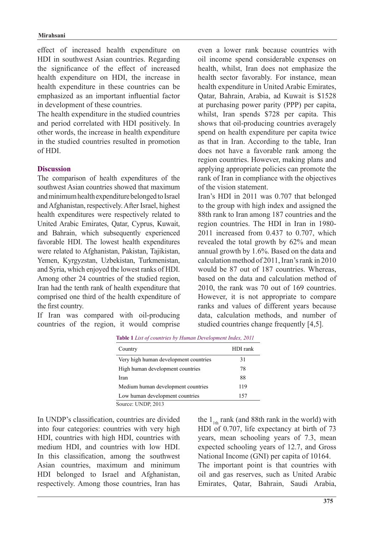effect of increased health expenditure on HDI in southwest Asian countries. Regarding the significance of the effect of increased health expenditure on HDI, the increase in health expenditure in these countries can be emphasized as an important influential factor in development of these countries.

The health expenditure in the studied countries and period correlated with HDI positively. In other words, the increase in health expenditure in the studied countries resulted in promotion  $of HDI$ 

#### **Discussion**

The comparison of health expenditures of the southwest Asian countries showed that maximum and minimum health expenditure belonged to Israel and Afghanistan, respectively. After Israel, highest health expenditures were respectively related to United Arabic Emirates, Oatar, Cyprus, Kuwait, and Bahrain, which subsequently experienced favorable HDI. The lowest health expenditures were related to Afghanistan, Pakistan, Tajikistan, Yemen, Kyrgyzstan, Uzbekistan, Turkmenistan, and Syria, which enjoyed the lowest ranks of HDI. Among other 24 countries of the studied region, Iran had the tenth rank of health expenditure that comprised one third of the health expenditure of the first country.

If Iran was compared with oil-producing countries of the region, it would comprise even a lower rank because countries with oil income spend considerable expenses on health, whilst, Iran does not emphasize the health sector favorably. For instance, mean health expenditure in United Arabic Emirates, Oatar, Bahrain, Arabia, ad Kuwait is \$1528 at purchasing power parity (PPP) per capita, whilst, Iran spends \$728 per capita. This shows that oil-producing countries averagely spend on health expenditure per capita twice as that in Iran. According to the table, Iran does not have a favorable rank among the region countries. However, making plans and applying appropriate policies can promote the rank of Iran in compliance with the objectives of the vision statement

Iran's HDI in 2011 was 0.707 that belonged to the group with high index and assigned the 88th rank to Iran among 187 countries and the region countries. The HDI in Iran in 1980-2011 increased from  $0.437$  to  $0.707$ , which revealed the total growth by 62% and mean annual growth by  $1.6\%$ . Based on the data and calculation method of 2011, Iran's rank in  $2010$ would be 87 out of 187 countries. Whereas, based on the data and calculation method of 2010, the rank was 70 out of  $169$  countries. However, it is not appropriate to compare ranks and values of different years because data, calculation methods, and number of studied countries change frequently  $[4,5]$ .

| Country                               | HDI rank |
|---------------------------------------|----------|
| Very high human development countries | 31       |
| High human development countries      | 78       |
| Iran                                  | 88       |
| Medium human development countries    | 119      |
| Low human development countries       | 157      |

**7able 1** List of countries by Human Development Index, 2011

Source: UNDP, 2013

In UNDP's classification, countries are divided into four categories: countries with very high HDI, countries with high HDI, countries with medium HDI, and countries with low HDI. In this classification, among the southwest Asian countries, maximum and minimum HDI belonged to Israel and Afghanistan, respectively. Among those countries, Iran has

the  $1_{th}$  rank (and 88th rank in the world) with HDI of 0.707, life expectancy at birth of  $73$ years, mean schooling years of 7.3, mean expected schooling years of 12.7, and Gross National Income (GNI) per capita of 10164. The important point is that countries with oil and gas reserves, such as United Arabic Emirates, Oatar, Bahrain, Saudi Arabia,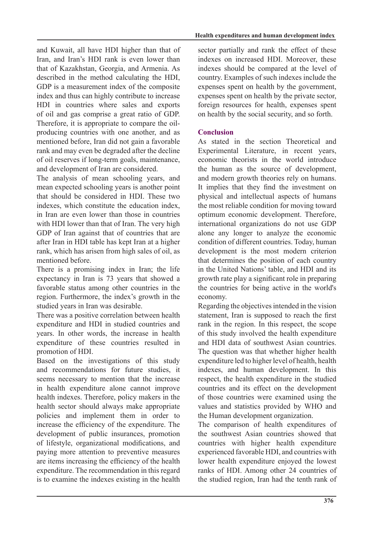and Kuwait, all have HDI higher than that of Iran, and Iran's HDI rank is even lower than that of Kazakhstan, Georgia, and Armenia. As described in the method calculating the HDI, GDP is a measurement index of the composite index and thus can highly contribute to increase HDI in countries where sales and exports of oil and gas comprise a great ratio of GDP. producing countries with one another, and as Therefore, it is appropriate to compare the oilmentioned before, Iran did not gain a favorable rank and may even be degraded after the decline of oil reserves if long-term goals, maintenance, and development of Iran are considered.

The analysis of mean schooling years, and mean expected schooling years is another point that should be considered in HDI. These two indexes which constitute the education index in Iran are even lower than those in countries with HDI lower than that of Iran. The very high GDP of Iran against that of countries that are after Iran in HDI table has kept Iran at a higher rank, which has arisen from high sales of oil, as mentioned before.

There is a promising index in Iran; the life expectancy in Iran is 73 years that showed a favorable status among other countries in the region. Furthermore, the index's growth in the studied years in Iran was desirable.

There was a positive correlation between health expenditure and HDI in studied countries and vears. In other words, the increase in health expenditure of these countries resulted in promotion of HDI.

Based on the investigations of this study and recommendations for future studies, it seems necessary to mention that the increase in health expenditure alone cannot improve health indexes. Therefore, policy makers in the health sector should always make appropriate policies and implement them in order to increase the efficiency of the expenditure. The development of public insurances, promotion of lifestyle, organizational modifications, and paying more attention to preventive measures are items increasing the efficiency of the health expenditure. The recommendation in this regard is to examine the indexes existing in the health sector partially and rank the effect of these indexes on increased HDI. Moreover, these indexes should be compared at the level of country. Examples of such indexes include the expenses spent on health by the government, expenses spent on health by the private sector. foreign resources for health, expenses spent on health by the social security, and so forth.

# **Conclusion**

As stated in the section Theoretical and Experimental Literature, in recent years, economic theorists in the world introduce the human as the source of development, and modern growth theories rely on humans. It implies that they find the investment on physical and intellectual aspects of humans the most reliable condition for moving toward optimum economic development. Therefore, international organizations do not use GDP alone any longer to analyze the economic condition of different countries. Today, human development is the most modern criterion that determines the position of each country in the United Nations' table, and HDI and its growth rate play a significant role in preparing the countries for being active in the world's .economy

Regarding the objectives intended in the vision statement, Iran is supposed to reach the first rank in the region. In this respect, the scope of this study involved the health expenditure and HDI data of southwest Asian countries The question was that whether higher health expenditure led to higher level of health, health indexes, and human development. In this respect, the health expenditure in the studied countries and its effect on the development of those countries were examined using the values and statistics provided by WHO and the Human development organization.

The comparison of health expenditures of the southwest Asian countries showed that countries with higher health expenditure experienced favorable HDI, and countries with lower health expenditure enjoyed the lowest ranks of HDI. Among other 24 countries of the studied region, Iran had the tenth rank of